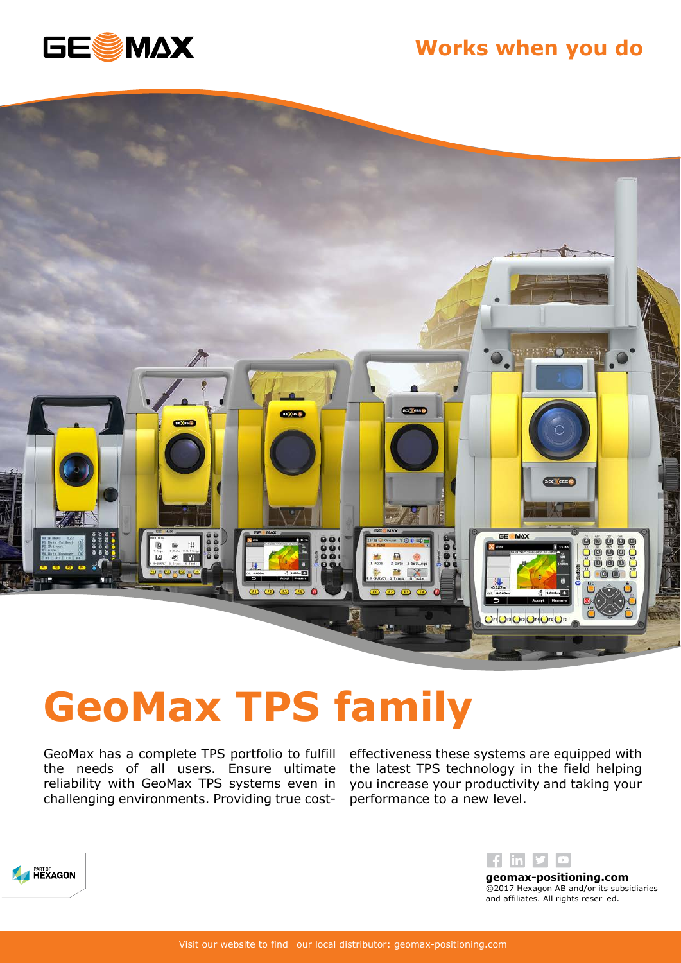





## **GeoMax TPS family**

GeoMax has a complete TPS portfolio to fulfill the needs of all users. Ensure ultimate reliability with GeoMax TPS systems even in challenging environments. Providing true costeffectiveness these systems are equipped with the latest TPS technology in the field helping you increase your productivity and taking your performance to a new level.





©2017 Hexagon AB and/or its subsidiaries and affiliates. All rights reser ed.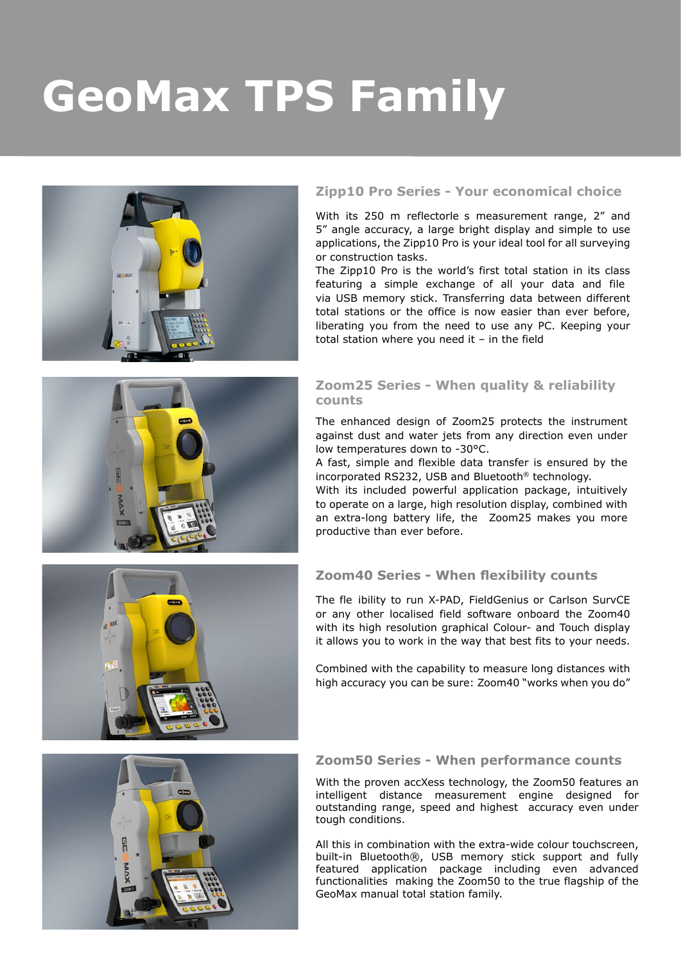# **GeoMax TPS Family**



### **Zipp10 Pro Series - Your economical choice**

With its 250 m reflectorle s measurement range, 2" and 5" angle accuracy, a large bright display and simple to use applications, the Zipp10 Pro is your ideal tool for all surveying or construction tasks.

The Zipp10 Pro is the world's first total station in its class featuring a simple exchange of all your data and file via USB memory stick. Transferring data between different total stations or the office is now easier than ever before, liberating you from the need to use any PC. Keeping your total station where you need it  $-$  in the field

### **Zoom25 Series - When quality & reliability counts**

The enhanced design of Zoom25 protects the instrument against dust and water jets from any direction even under low temperatures down to -30°C.

A fast, simple and flexible data transfer is ensured by the incorporated RS232, USB and Bluetooth® technology.

With its included powerful application package, intuitively to operate on a large, high resolution display, combined with an extra-long battery life, the Zoom25 makes you more productive than ever before.

### **Zoom40 Series - When flexibility counts**

The fle ibility to run X-PAD, FieldGenius or Carlson SurvCE or any other localised field software onboard the Zoom40 with its high resolution graphical Colour- and Touch display it allows you to work in the way that best fits to your needs.

Combined with the capability to measure long distances with high accuracy you can be sure: Zoom40 "works when you do"



### **Zoom50 Series - When performance counts**

With the proven accXess technology, the Zoom50 features an intelligent distance measurement engine designed for outstanding range, speed and highest accuracy even under tough conditions.

All this in combination with the extra-wide colour touchscreen, built-in Bluetooth®, USB memory stick support and fully featured application package including even advanced functionalities making the Zoom50 to the true flagship of the GeoMax manual total station family.

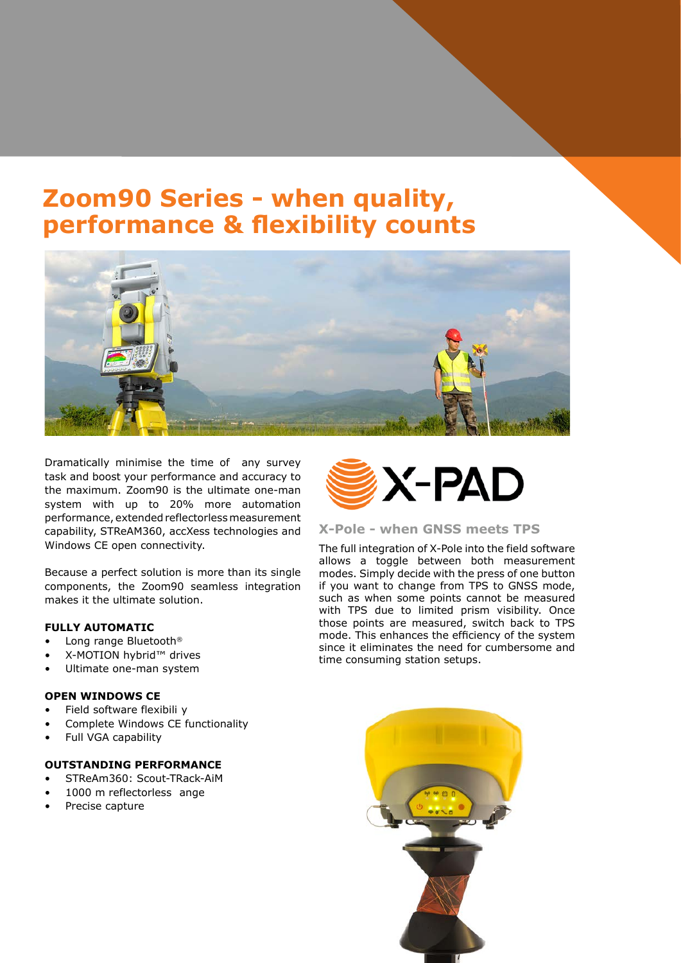### **Zoom90 Series - when quality, performance & flexibility counts**



Dramatically minimise the time of any survey task and boost your performance and accuracy to the maximum. Zoom90 is the ultimate one-man system with up to 20% more automation performance, extended reflectorlessmeasurement capability, STReAM360, accXess technologies and Windows CE open connectivity.

Because a perfect solution is more than its single components, the Zoom90 seamless integration makes it the ultimate solution.

#### **FULLY AUTOMATIC**

- Long range Bluetooth®
- X-MOTION hybrid™ drives
- Ultimate one-man system

### **OPEN WINDOWS CE**

- Field software flexibili y
- Complete Windows CE functionality
- Full VGA capability

### **OUTSTANDING PERFORMANCE**

- STReAm360: Scout-TRack-AiM
- 1000 m reflectorless ange
- Precise capture



#### **X-Pole - when GNSS meets TPS**

The full integration of X-Pole into the field software allows a toggle between both measurement modes. Simply decide with the press of one button if you want to change from TPS to GNSS mode, such as when some points cannot be measured with TPS due to limited prism visibility. Once those points are measured, switch back to TPS mode. This enhances the efficiency of the system since it eliminates the need for cumbersome and time consuming station setups.